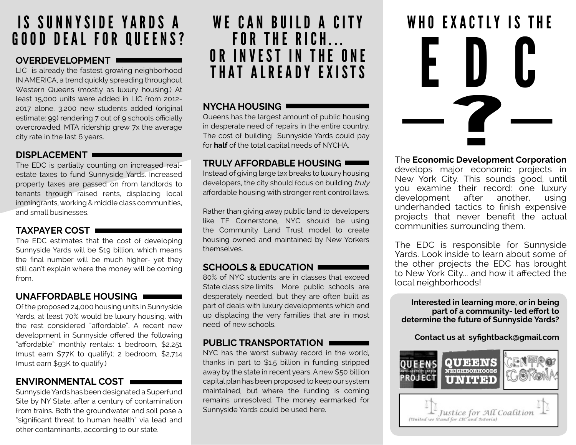### IS SUNNYSIDE YARDS A GOOD DEAL FOR QUEENS?

#### **OVERDEVELOPMENT**

LIC is already the fastest growing neighborhood IN AMERICA, a trend quickly spreading throughout Western Queens (mostly as luxury housing.) At least 15,000 units were added in LIC from 2012- 2017 alone. 3,200 new students added (original estimate: 99) rendering 7 out of 9 schools officially overcrowded. MTA ridership grew 7x the average city rate in the last 6 years.

#### **DISPLACEMENT**

The EDC is partially counting on increased realestate taxes to fund Sunnyside Yards. Increased property taxes are passed on from landlords to tenants through raised rents, displacing local immingrants, working & middle class communities, and small businesses.

#### **TAXPAYER COST**

The EDC estimates that the cost of developing Sunnyside Yards will be \$19 billion, which means the fnal number will be much higher- yet they still can't explain where the money will be coming from.

#### **UNAFFORDABLE HOUSING**

Of the proposed 24,000 housing units in Sunnyside Yards, at least 70% would be luxury housing, with the rest considered "afordable". A recent new development in Sunnyside ofered the following "afordable" monthly rentals: 1 bedroom, \$2,251 (must earn \$77K to qualify); 2 bedroom, \$2,714 (must earn \$93K to qualify.)

#### **ENVIRONMENTAL COST**

Sunnyside Yards has been designated a Superfund Site by NY State, after a century of contamination from trains. Both the groundwater and soil pose a "signifcant threat to human health" via lead and other contaminants, according to our state.

## FOR THE RICH... OR INVEST IN THE ONE THAT ALREADY EXISTS

#### **NYCHA HOUSING**

Queens has the largest amount of public housing in desperate need of repairs in the entire country. The cost of building Sunnyside Yards could pay for **half** of the total capital needs of NYCHA.

#### **TRULY AFFORDABLE HOUSING**

Instead of giving large tax breaks to luxury housing developers, the city should focus on building truly afordable housing with stronger rent control laws.

Rather than giving away public land to developers like TF Cornerstone, NYC should be using the Community Land Trust model to create housing owned and maintained by New Yorkers themselves.

#### **SCHOOLS & EDUCATION**

80% of NYC students are in classes that exceed State class size limits. More public schools are desperately needed, but they are often built as part of deals with luxury developments which end up displacing the very families that are in most need of new schools.

#### **PUBLIC TRANSPORTATION**

NYC has the worst subway record in the world, thanks in part to \$1.5 billion in funding stripped away by the state in recent years. A new \$50 billion capital plan has been proposed to keep our system maintained, but where the funding is coming remains unresolved. The money earmarked for Sunnyside Yards could be used here.



The **Economic Development Corporation**

develops major economic projects in New York City. This sounds good, until you examine their record: one luxury<br>development after another, using development after another, using underhanded tactics to fnish expensive projects that never beneft the actual communities surrounding them.

The EDC is responsible for Sunnyside Yards. Look inside to learn about some of the other projects the EDC has brought to New York City... and how it afected the local neighborhoods!

**Interested in learning more, or in being part of a community- led efort to determine the future of Sunnyside Yards?**

**Contact us at syfghtback@gmail.com**